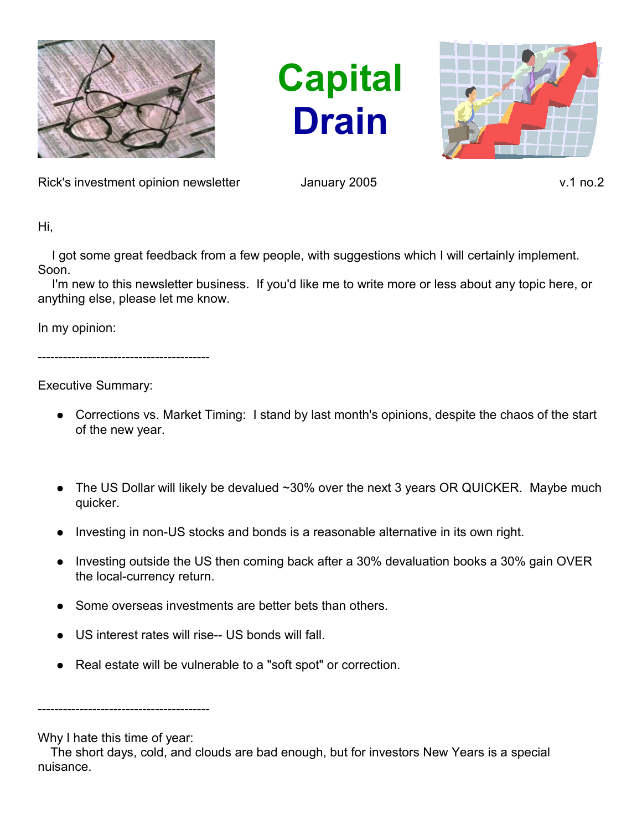

**Capital Drain**



Rick's investment opinion newsletter and January 2005 v.1 no.2

Hi,

 I got some great feedback from a few people, with suggestions which I will certainly implement. Soon.

I'm new to this newsletter business. If you'd like me to write more or less about any topic here, or anything else, please let me know.

In my opinion:

-----------------------------------------

Executive Summary:

- Corrections vs. Market Timing: I stand by last month's opinions, despite the chaos of the start of the new year.
- The US Dollar will likely be devalued  $~30\%$  over the next 3 years OR QUICKER. Maybe much quicker.
- Investing in non-US stocks and bonds is a reasonable alternative in its own right.
- Investing outside the US then coming back after a 30% devaluation books a 30% gain OVER the local-currency return.
- Some overseas investments are better bets than others.
- US interest rates will rise-- US bonds will fall.
- Real estate will be vulnerable to a "soft spot" or correction.

-----------------------------------------

Why I hate this time of year:

The short days, cold, and clouds are bad enough, but for investors New Years is a special nuisance.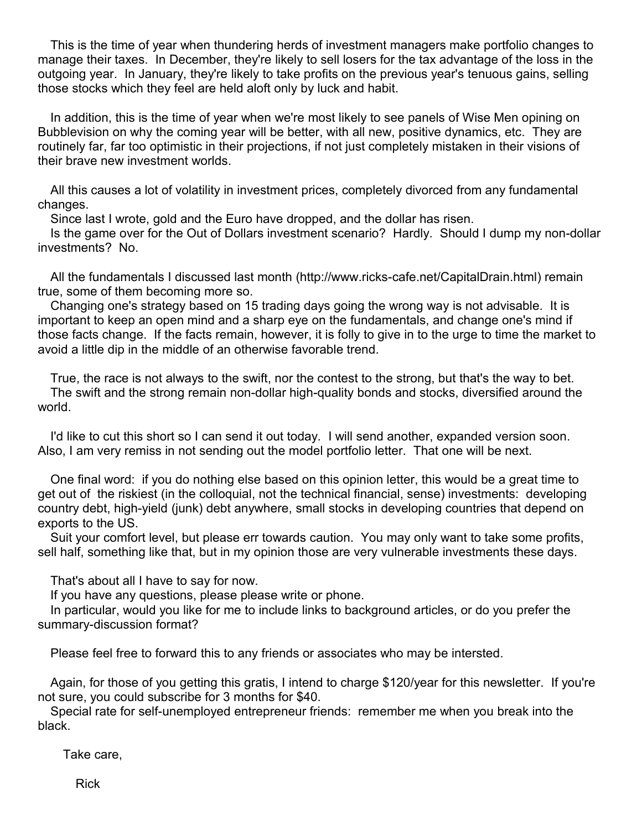This is the time of year when thundering herds of investment managers make portfolio changes to manage their taxes. In December, they're likely to sell losers for the tax advantage of the loss in the outgoing year. In January, they're likely to take profits on the previous year's tenuous gains, selling those stocks which they feel are held aloft only by luck and habit.

In addition, this is the time of year when we're most likely to see panels of Wise Men opining on Bubblevision on why the coming year will be better, with all new, positive dynamics, etc. They are routinely far, far too optimistic in their projections, if not just completely mistaken in their visions of their brave new investment worlds.

All this causes a lot of volatility in investment prices, completely divorced from any fundamental changes.

Since last I wrote, gold and the Euro have dropped, and the dollar has risen.

Is the game over for the Out of Dollars investment scenario? Hardly. Should I dump my non-dollar investments? No.

All the fundamentals I discussed last month (http://www.ricks-cafe.net/CapitalDrain.html) remain true, some of them becoming more so.

Changing one's strategy based on 15 trading days going the wrong way is not advisable. It is important to keep an open mind and a sharp eye on the fundamentals, and change one's mind if those facts change. If the facts remain, however, it is folly to give in to the urge to time the market to avoid a little dip in the middle of an otherwise favorable trend.

True, the race is not always to the swift, nor the contest to the strong, but that's the way to bet. The swift and the strong remain non-dollar high-quality bonds and stocks, diversified around the world.

I'd like to cut this short so I can send it out today. I will send another, expanded version soon. Also, I am very remiss in not sending out the model portfolio letter. That one will be next.

One final word: if you do nothing else based on this opinion letter, this would be a great time to get out of the riskiest (in the colloquial, not the technical financial, sense) investments: developing country debt, high-yield (junk) debt anywhere, small stocks in developing countries that depend on exports to the US.

Suit your comfort level, but please err towards caution. You may only want to take some profits, sell half, something like that, but in my opinion those are very vulnerable investments these days.

That's about all I have to say for now.

If you have any questions, please please write or phone.

In particular, would you like for me to include links to background articles, or do you prefer the summary-discussion format?

Please feel free to forward this to any friends or associates who may be intersted.

Again, for those of you getting this gratis, I intend to charge \$120/year for this newsletter. If you're not sure, you could subscribe for 3 months for \$40.

Special rate for self-unemployed entrepreneur friends: remember me when you break into the black.

Take care,

Rick